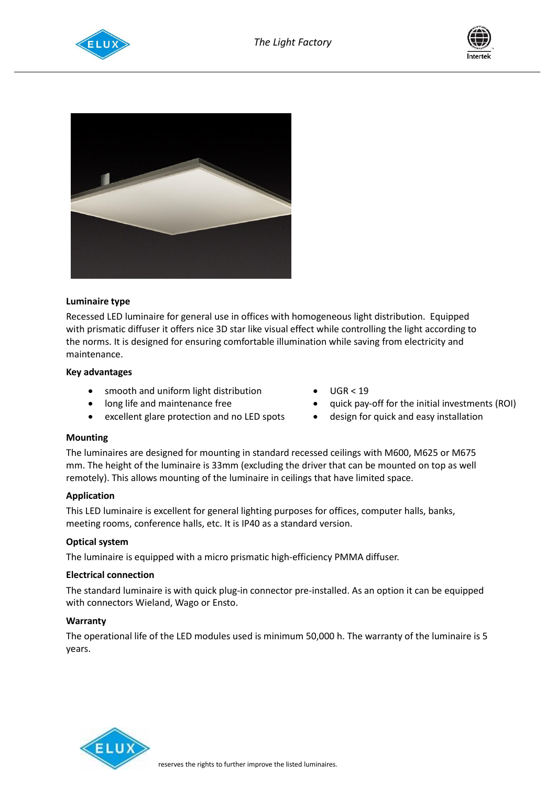





## **Luminaire type**

Recessed LED luminaire for general use in offices with homogeneous light distribution. Equipped with prismatic diffuser it offers nice 3D star like visual effect while controlling the light according to the norms. It is designed for ensuring comfortable illumination while saving from electricity and maintenance.

## **Key advantages**

- smooth and uniform light distribution
- long life and maintenance free
- excellent glare protection and no LED spots
- UGR < 19
- quick pay-off for the initial investments (ROI)
- design for quick and easy installation

## **Mounting**

The luminaires are designed for mounting in standard recessed ceilings with M600, M625 or M675 mm. The height of the luminaire is 33mm (excluding the driver that can be mounted on top as well remotely). This allows mounting of the luminaire in ceilings that have limited space.

## **Application**

This LED luminaire is excellent for general lighting purposes for offices, computer halls, banks, meeting rooms, conference halls, etc. It is IP40 as a standard version.

## **Optical system**

The luminaire is equipped with a micro prismatic high-efficiency PMMA diffuser.

## **Electrical connection**

The standard luminaire is with quick plug-in connector pre-installed. As an option it can be equipped with connectors Wieland, Wago or Ensto.

## **Warranty**

The operational life of the LED modules used is minimum 50,000 h. The warranty of the luminaire is 5 years.

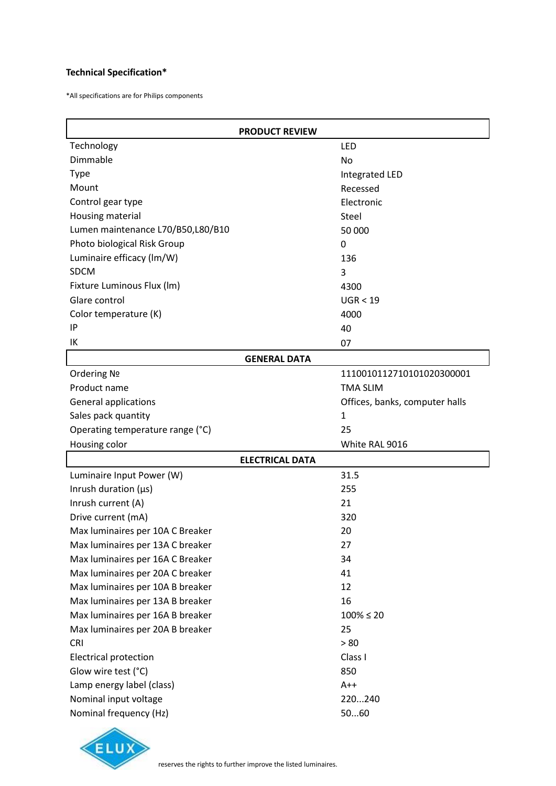# **Technical Specification\***

\*All specifications are for Philips components

| <b>PRODUCT REVIEW</b>             |                                |
|-----------------------------------|--------------------------------|
| Technology                        | LED                            |
| Dimmable                          | No                             |
| <b>Type</b>                       | Integrated LED                 |
| Mount                             | Recessed                       |
| Control gear type                 | Electronic                     |
| Housing material                  | Steel                          |
| Lumen maintenance L70/B50,L80/B10 | 50 000                         |
| Photo biological Risk Group       | 0                              |
| Luminaire efficacy (lm/W)         | 136                            |
| <b>SDCM</b>                       | 3                              |
| Fixture Luminous Flux (lm)        | 4300                           |
| Glare control                     | UGR < 19                       |
| Color temperature (K)             | 4000                           |
| IP                                | 40                             |
| IK                                | 07                             |
| <b>GENERAL DATA</b>               |                                |
| Ordering No                       | 1110010112710101020300001      |
| Product name                      | <b>TMA SLIM</b>                |
| <b>General applications</b>       | Offices, banks, computer halls |
| Sales pack quantity               | $\mathbf{1}$                   |
| Operating temperature range (°C)  | 25                             |
| Housing color                     | White RAL 9016                 |
|                                   |                                |
| <b>ELECTRICAL DATA</b>            |                                |
| Luminaire Input Power (W)         | 31.5                           |
| Inrush duration $(\mu s)$         | 255                            |
| Inrush current (A)                | 21                             |
| Drive current (mA)                | 320                            |
| Max luminaires per 10A C Breaker  | 20                             |
| Max luminaires per 13A C breaker  | 27                             |
| Max luminaires per 16A C Breaker  | 34                             |
| Max luminaires per 20A C breaker  | 41                             |
| Max luminaires per 10A B breaker  | 12                             |
| Max luminaires per 13A B breaker  | 16                             |
| Max luminaires per 16A B breaker  | $100\% \le 20$                 |
| Max luminaires per 20A B breaker  | 25                             |
| CRI                               | > 80                           |
| <b>Electrical protection</b>      | Class I                        |
| Glow wire test (°C)               | 850                            |
| Lamp energy label (class)         | $A++$                          |
| Nominal input voltage             | 220240                         |

![](_page_1_Picture_3.jpeg)